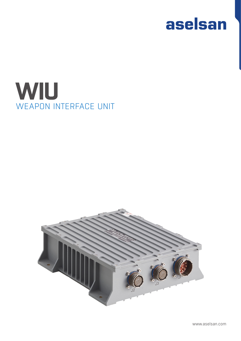